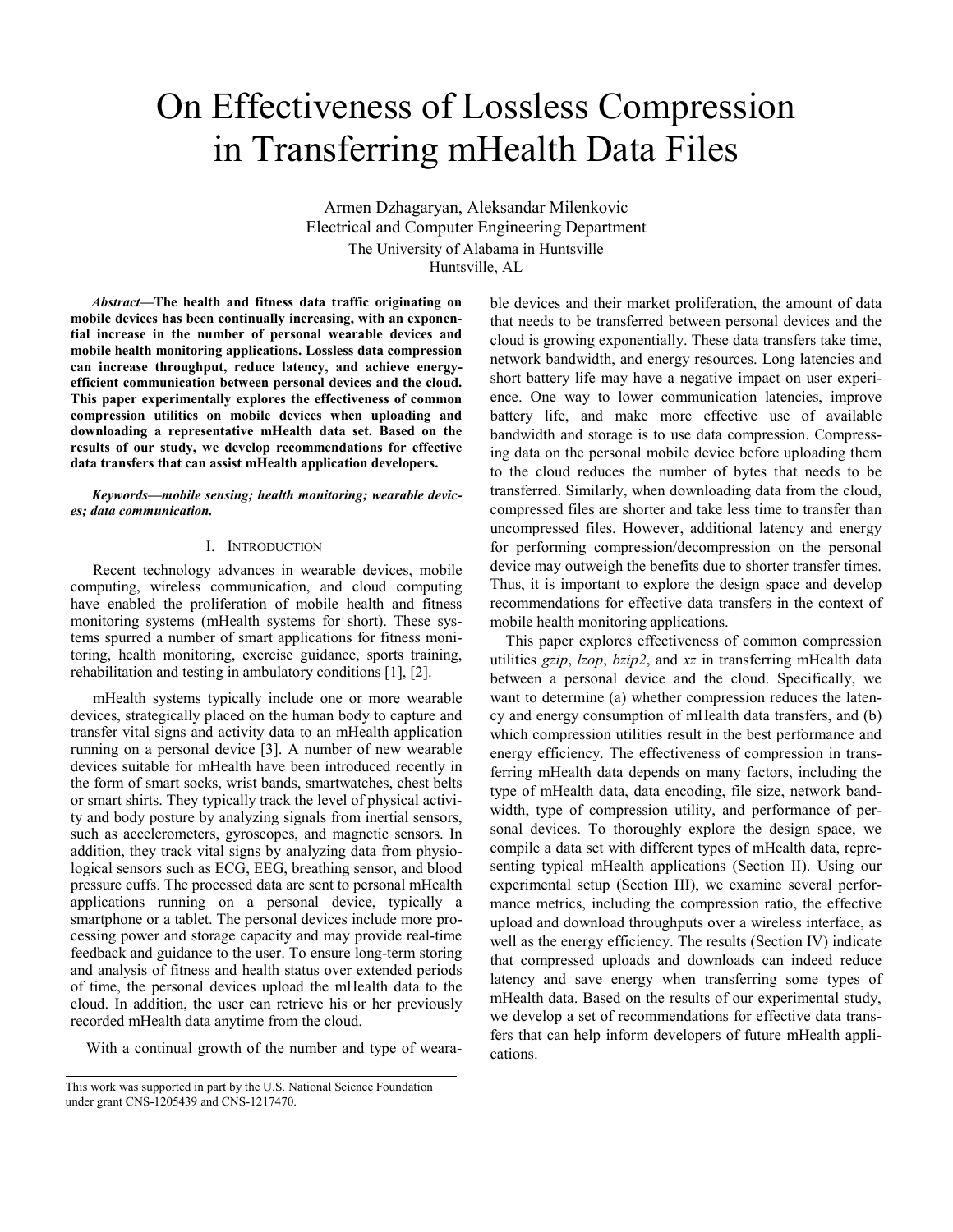# On Effectiveness of Lossless Compression in Transferring mHealth Data Files

Armen Dzhagaryan, Aleksandar Milenkovic Electrical and Computer Engineering Department The University of Alabama in Huntsville Huntsville, AL

*Abstract***—The health and fitness data traffic originating on mobile devices has been continually increasing, with an exponential increase in the number of personal wearable devices and mobile health monitoring applications. Lossless data compression can increase throughput, reduce latency, and achieve energyefficient communication between personal devices and the cloud. This paper experimentally explores the effectiveness of common compression utilities on mobile devices when uploading and downloading a representative mHealth data set. Based on the results of our study, we develop recommendations for effective data transfers that can assist mHealth application developers.** 

*Keywords—mobile sensing; health monitoring; wearable devices; data communication.* 

### I. INTRODUCTION

Recent technology advances in wearable devices, mobile computing, wireless communication, and cloud computing have enabled the proliferation of mobile health and fitness monitoring systems (mHealth systems for short). These systems spurred a number of smart applications for fitness monitoring, health monitoring, exercise guidance, sports training, rehabilitation and testing in ambulatory conditions [1], [2].

mHealth systems typically include one or more wearable devices, strategically placed on the human body to capture and transfer vital signs and activity data to an mHealth application running on a personal device [3]. A number of new wearable devices suitable for mHealth have been introduced recently in the form of smart socks, wrist bands, smartwatches, chest belts or smart shirts. They typically track the level of physical activity and body posture by analyzing signals from inertial sensors, such as accelerometers, gyroscopes, and magnetic sensors. In addition, they track vital signs by analyzing data from physiological sensors such as ECG, EEG, breathing sensor, and blood pressure cuffs. The processed data are sent to personal mHealth applications running on a personal device, typically a smartphone or a tablet. The personal devices include more processing power and storage capacity and may provide real-time feedback and guidance to the user. To ensure long-term storing and analysis of fitness and health status over extended periods of time, the personal devices upload the mHealth data to the cloud. In addition, the user can retrieve his or her previously recorded mHealth data anytime from the cloud.

With a continual growth of the number and type of weara-

ble devices and their market proliferation, the amount of data that needs to be transferred between personal devices and the cloud is growing exponentially. These data transfers take time, network bandwidth, and energy resources. Long latencies and short battery life may have a negative impact on user experience. One way to lower communication latencies, improve battery life, and make more effective use of available bandwidth and storage is to use data compression. Compressing data on the personal mobile device before uploading them to the cloud reduces the number of bytes that needs to be transferred. Similarly, when downloading data from the cloud, compressed files are shorter and take less time to transfer than uncompressed files. However, additional latency and energy for performing compression/decompression on the personal device may outweigh the benefits due to shorter transfer times. Thus, it is important to explore the design space and develop recommendations for effective data transfers in the context of mobile health monitoring applications.

This paper explores effectiveness of common compression utilities *gzip*, *lzop*, *bzip2*, and *xz* in transferring mHealth data between a personal device and the cloud. Specifically, we want to determine (a) whether compression reduces the latency and energy consumption of mHealth data transfers, and (b) which compression utilities result in the best performance and energy efficiency. The effectiveness of compression in transferring mHealth data depends on many factors, including the type of mHealth data, data encoding, file size, network bandwidth, type of compression utility, and performance of personal devices. To thoroughly explore the design space, we compile a data set with different types of mHealth data, representing typical mHealth applications (Section II). Using our experimental setup (Section III), we examine several performance metrics, including the compression ratio, the effective upload and download throughputs over a wireless interface, as well as the energy efficiency. The results (Section IV) indicate that compressed uploads and downloads can indeed reduce latency and save energy when transferring some types of mHealth data. Based on the results of our experimental study, we develop a set of recommendations for effective data transfers that can help inform developers of future mHealth applications.

This work was supported in part by the U.S. National Science Foundation under grant CNS-1205439 and CNS-1217470.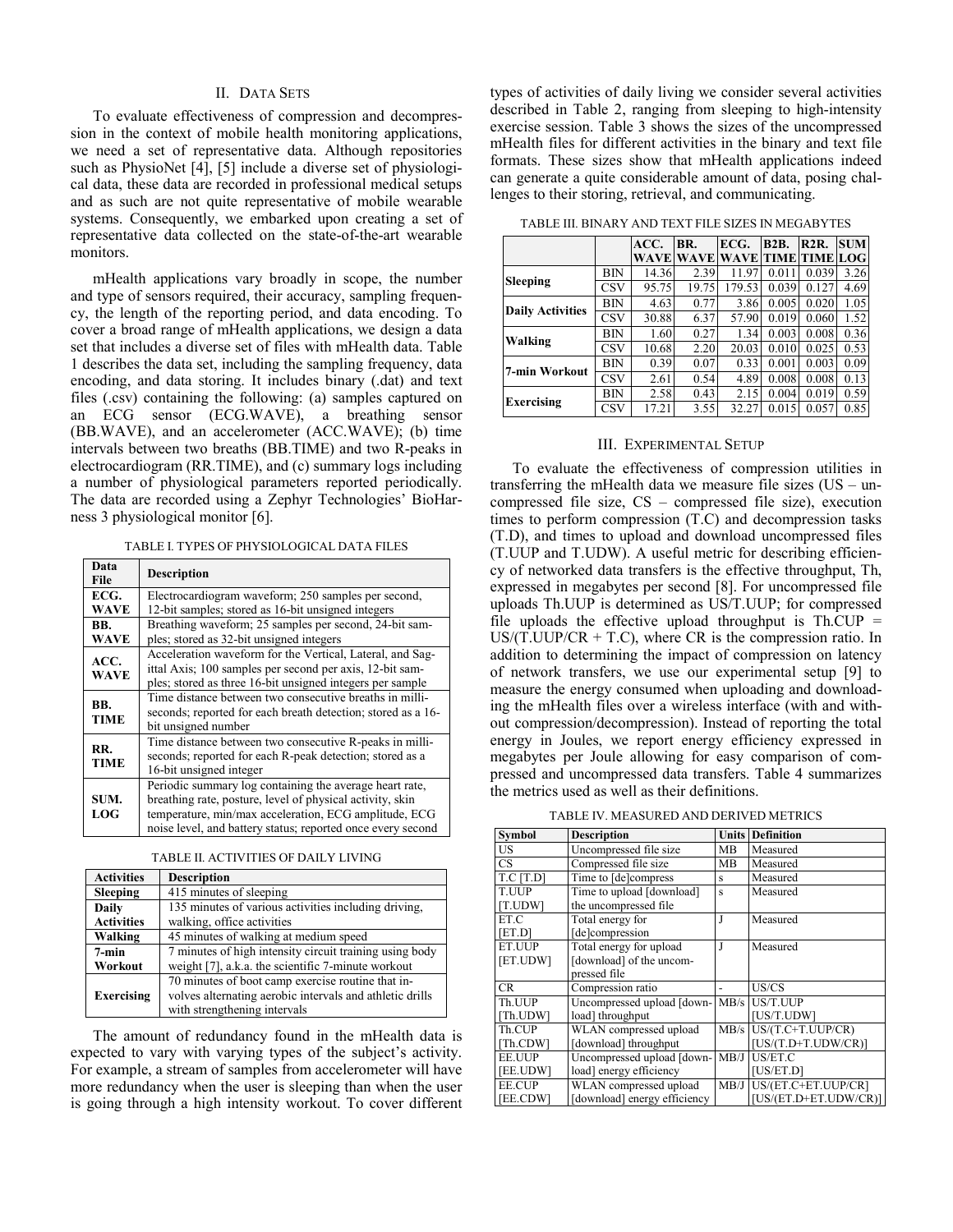### II. DATA SETS

To evaluate effectiveness of compression and decompression in the context of mobile health monitoring applications, we need a set of representative data. Although repositories such as PhysioNet [4], [5] include a diverse set of physiological data, these data are recorded in professional medical setups and as such are not quite representative of mobile wearable systems. Consequently, we embarked upon creating a set of representative data collected on the state-of-the-art wearable monitors.

mHealth applications vary broadly in scope, the number and type of sensors required, their accuracy, sampling frequency, the length of the reporting period, and data encoding. To cover a broad range of mHealth applications, we design a data set that includes a diverse set of files with mHealth data. Table 1 describes the data set, including the sampling frequency, data encoding, and data storing. It includes binary (.dat) and text files (.csv) containing the following: (a) samples captured on an ECG sensor (ECG.WAVE), a breathing sensor (BB.WAVE), and an accelerometer (ACC.WAVE); (b) time intervals between two breaths (BB.TIME) and two R-peaks in electrocardiogram (RR.TIME), and (c) summary logs including a number of physiological parameters reported periodically. The data are recorded using a Zephyr Technologies' BioHarness 3 physiological monitor [6].

TABLE I. TYPES OF PHYSIOLOGICAL DATA FILES

| Data<br>File        | <b>Description</b>                                                                                                                                                                                                                           |
|---------------------|----------------------------------------------------------------------------------------------------------------------------------------------------------------------------------------------------------------------------------------------|
| ECG.                | Electrocardiogram waveform; 250 samples per second,                                                                                                                                                                                          |
| <b>WAVE</b>         | 12-bit samples; stored as 16-bit unsigned integers                                                                                                                                                                                           |
| BB.                 | Breathing waveform; 25 samples per second, 24-bit sam-                                                                                                                                                                                       |
| <b>WAVE</b>         | ples; stored as 32-bit unsigned integers                                                                                                                                                                                                     |
| ACC.<br><b>WAVE</b> | Acceleration waveform for the Vertical, Lateral, and Sag-<br>ittal Axis; 100 samples per second per axis, 12-bit sam-<br>ples; stored as three 16-bit unsigned integers per sample                                                           |
| BB.<br><b>TIME</b>  | Time distance between two consecutive breaths in milli-<br>seconds; reported for each breath detection; stored as a 16-<br>bit unsigned number                                                                                               |
| RR.<br><b>TIME</b>  | Time distance between two consecutive R-peaks in milli-<br>seconds; reported for each R-peak detection; stored as a<br>16-bit unsigned integer                                                                                               |
| SUM.<br>LOG         | Periodic summary log containing the average heart rate,<br>breathing rate, posture, level of physical activity, skin<br>temperature, min/max acceleration, ECG amplitude, ECG<br>noise level, and battery status; reported once every second |

TABLE II. ACTIVITIES OF DAILY LIVING

| <b>Activities</b> | <b>Description</b>                                       |
|-------------------|----------------------------------------------------------|
| <b>Sleeping</b>   | 415 minutes of sleeping                                  |
| Daily             | 135 minutes of various activities including driving,     |
| <b>Activities</b> | walking, office activities                               |
| Walking           | 45 minutes of walking at medium speed                    |
| $7 - min$         | 7 minutes of high intensity circuit training using body  |
| Workout           | weight [7], a.k.a. the scientific 7-minute workout       |
|                   | 70 minutes of boot camp exercise routine that in-        |
| Exercising        | volves alternating aerobic intervals and athletic drills |
|                   | with strengthening intervals                             |

The amount of redundancy found in the mHealth data is expected to vary with varying types of the subject's activity. For example, a stream of samples from accelerometer will have more redundancy when the user is sleeping than when the user is going through a high intensity workout. To cover different

types of activities of daily living we consider several activities described in Table 2, ranging from sleeping to high-intensity exercise session. Table 3 shows the sizes of the uncompressed mHealth files for different activities in the binary and text file formats. These sizes show that mHealth applications indeed can generate a quite considerable amount of data, posing challenges to their storing, retrieval, and communicating.

TABLE III. BINARY AND TEXT FILE SIZES IN MEGABYTES

|                         |            | ACC.  | BR.   | ECG.        | <b>B2B.</b> | $R2R$ .     | <b>SUM</b> |
|-------------------------|------------|-------|-------|-------------|-------------|-------------|------------|
|                         |            | WAVE  | WAVE  | <b>WAVE</b> | <b>TIME</b> | <b>TIME</b> | LOG        |
|                         | ВIN        | 14.36 | 2.39  | 11.97       | 0.011       | 0.039       | 3.26       |
| <b>Sleeping</b>         | <b>CSV</b> | 95.75 | 19.75 | 179.53      | 0.039       | 0.127       | 4.69       |
| <b>Daily Activities</b> | ΒIΝ        | 4.63  | 0.77  | 3.86        | 0.005       | 0.020       | 1.05       |
|                         | <b>CSV</b> | 30.88 | 6.37  | 57.90       | 0.019       | 0.060       | 1.52       |
| Walking                 | ΒIΝ        | 1.60  | 0.27  | 1.34        | 0.003       | 0.008       | 0.36       |
|                         | <b>CSV</b> | 10.68 | 2.20  | 20.03       | 0.010       | 0.025       | 0.53       |
| 7-min Workout           | <b>BIN</b> | 0.39  | 0.07  | 0.33        | 0.001       | 0.003       | 0.09       |
|                         | <b>CSV</b> | 2.61  | 0.54  | 4.89        | 0.008       | 0.008       | 0.13       |
|                         | BIN        | 2.58  | 0.43  | 2.15        | 0.004       | 0.019       | 0.59       |
| <b>Exercising</b>       | <b>CSV</b> | 17.21 | 3.55  | 32.27       | 0.015       | 0.057       | 0.85       |

# III. EXPERIMENTAL SETUP

To evaluate the effectiveness of compression utilities in transferring the mHealth data we measure file sizes  $(US - un$ compressed file size, CS – compressed file size), execution times to perform compression (T.C) and decompression tasks (T.D), and times to upload and download uncompressed files (T.UUP and T.UDW). A useful metric for describing efficiency of networked data transfers is the effective throughput, Th, expressed in megabytes per second [8]. For uncompressed file uploads Th.UUP is determined as US/T.UUP; for compressed file uploads the effective upload throughput is  $Th.CUP =$  $US/(T.UUP/CR + T.C)$ , where CR is the compression ratio. In addition to determining the impact of compression on latency of network transfers, we use our experimental setup [9] to measure the energy consumed when uploading and downloading the mHealth files over a wireless interface (with and without compression/decompression). Instead of reporting the total energy in Joules, we report energy efficiency expressed in megabytes per Joule allowing for easy comparison of compressed and uncompressed data transfers. Table 4 summarizes the metrics used as well as their definitions.

TABLE IV. MEASURED AND DERIVED METRICS

|               | TADLE IV. MEASURED AND DERIVED METRICS |              |                        |
|---------------|----------------------------------------|--------------|------------------------|
| <b>Symbol</b> | <b>Description</b>                     | Units        | <b>Definition</b>      |
| US.           | Uncompressed file size                 | МB           | Measured               |
| <b>CS</b>     | Compressed file size                   | MВ           | Measured               |
| T.C [T.D]     | Time to [de]compress                   | S            | Measured               |
| <b>T.UUP</b>  | Time to upload [download]              | $\mathbf{s}$ | Measured               |
| [T.UDW]       | the uncompressed file                  |              |                        |
| ET.C          | Total energy for                       | I            | Measured               |
| [ET.D]        | [de]compression                        |              |                        |
| ET.UUP        | Total energy for upload                | J            | Measured               |
| [ET.UDW]      | [download] of the uncom-               |              |                        |
|               | pressed file                           |              |                        |
| <b>CR</b>     | Compression ratio                      |              | US/CS                  |
| Th.UUP        | Uncompressed upload [down-             |              | MB/s US/T.UUP          |
| [Th.UDW]      | load] throughput                       |              | <b>IUS/T.UDWI</b>      |
| Th.CUP        | WLAN compressed upload                 | MB/s         | $US/(T.C+T.UUP/CR)$    |
| [Th.CDW]      | [download] throughput                  |              | $[US/(T.D+T.UDW/CR)]$  |
| <b>EE.UUP</b> | Uncompressed upload [down-             | MB/J         | US/ET.C                |
| [EE.UDW]      | load] energy efficiency                |              | <b>IUS/ET.DI</b>       |
| <b>EE.CUP</b> | WLAN compressed upload                 | MB/J         | US/(ET.C+ET.UUP/CR]    |
| [EE.CDW]      | [download] energy efficiency           |              | $[US/ET.D+ET.UDW/CR)]$ |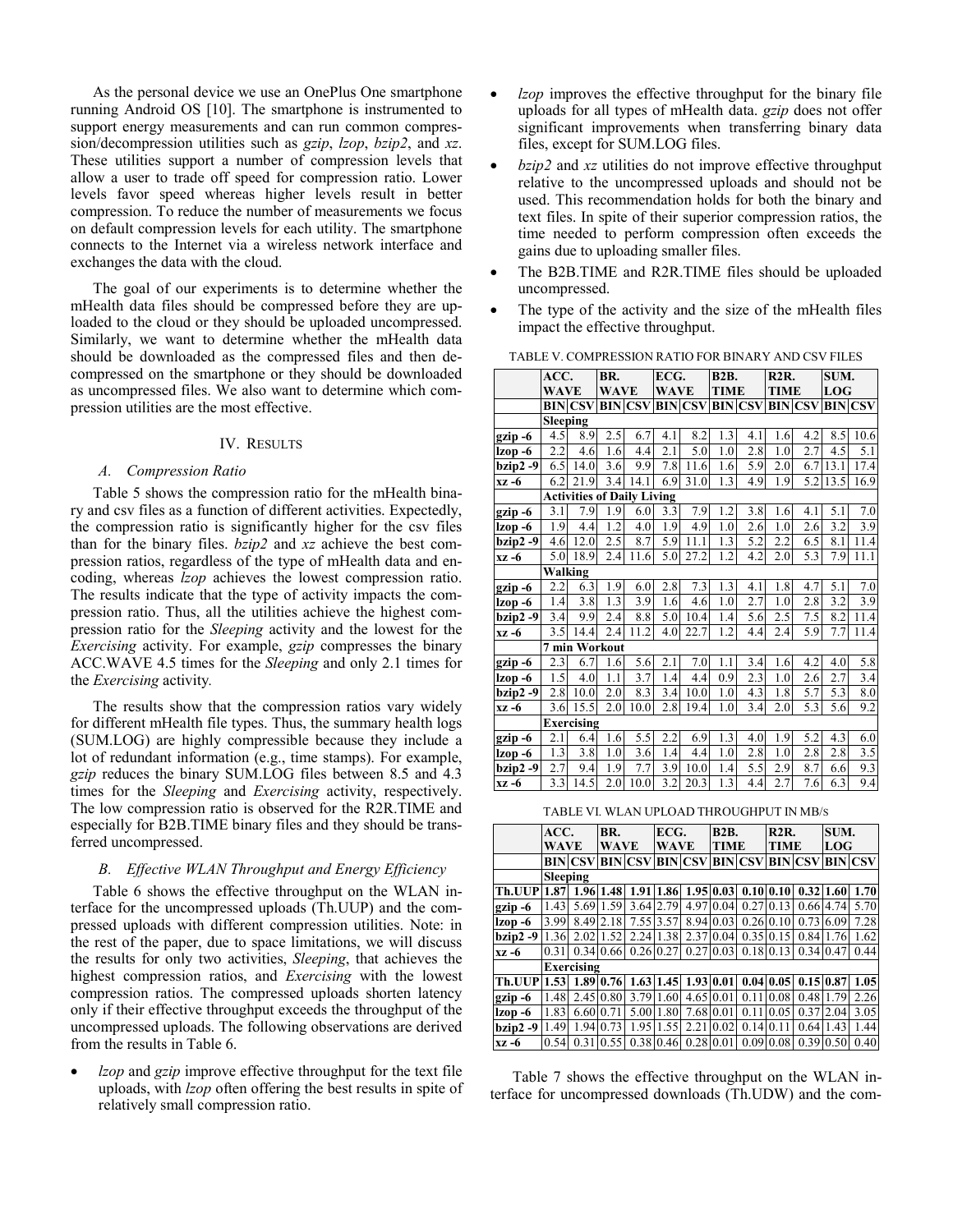As the personal device we use an OnePlus One smartphone running Android OS [10]. The smartphone is instrumented to support energy measurements and can run common compression/decompression utilities such as *gzip*, *lzop*, *bzip2*, and *xz*. These utilities support a number of compression levels that allow a user to trade off speed for compression ratio. Lower levels favor speed whereas higher levels result in better compression. To reduce the number of measurements we focus on default compression levels for each utility. The smartphone connects to the Internet via a wireless network interface and exchanges the data with the cloud.

The goal of our experiments is to determine whether the mHealth data files should be compressed before they are uploaded to the cloud or they should be uploaded uncompressed. Similarly, we want to determine whether the mHealth data should be downloaded as the compressed files and then decompressed on the smartphone or they should be downloaded as uncompressed files. We also want to determine which compression utilities are the most effective.

# IV. RESULTS

## *A. Compression Ratio*

Table 5 shows the compression ratio for the mHealth binary and csv files as a function of different activities. Expectedly, the compression ratio is significantly higher for the csv files than for the binary files. *bzip2* and *xz* achieve the best compression ratios, regardless of the type of mHealth data and encoding, whereas *lzop* achieves the lowest compression ratio. The results indicate that the type of activity impacts the compression ratio. Thus, all the utilities achieve the highest compression ratio for the *Sleeping* activity and the lowest for the *Exercising* activity. For example, *gzip* compresses the binary ACC.WAVE 4.5 times for the *Sleeping* and only 2.1 times for the *Exercising* activity*.*

The results show that the compression ratios vary widely for different mHealth file types. Thus, the summary health logs (SUM.LOG) are highly compressible because they include a lot of redundant information (e.g., time stamps). For example, *gzip* reduces the binary SUM.LOG files between 8.5 and 4.3 times for the *Sleeping* and *Exercising* activity, respectively. The low compression ratio is observed for the R2R.TIME and especially for B2B.TIME binary files and they should be transferred uncompressed.

# *B. Effective WLAN Throughput and Energy Efficiency*

Table 6 shows the effective throughput on the WLAN interface for the uncompressed uploads (Th.UUP) and the compressed uploads with different compression utilities. Note: in the rest of the paper, due to space limitations, we will discuss the results for only two activities, *Sleeping*, that achieves the highest compression ratios, and *Exercising* with the lowest compression ratios. The compressed uploads shorten latency only if their effective throughput exceeds the throughput of the uncompressed uploads. The following observations are derived from the results in Table 6.

• *lzop* and *gzip* improve effective throughput for the text file uploads, with *lzop* often offering the best results in spite of relatively small compression ratio.

- *lzop* improves the effective throughput for the binary file uploads for all types of mHealth data. *gzip* does not offer significant improvements when transferring binary data files, except for SUM.LOG files.
- *bzip2* and *xz* utilities do not improve effective throughput relative to the uncompressed uploads and should not be used. This recommendation holds for both the binary and text files. In spite of their superior compression ratios, the time needed to perform compression often exceeds the gains due to uploading smaller files.
- The B2B.TIME and R2R.TIME files should be uploaded uncompressed.
- The type of the activity and the size of the mHealth files impact the effective throughput.

|            | ACC.        |                   | BR.              |                                   | ECG.        |                | <b>B2B.</b>      |                  | $R2R$ .          |                  | SUM. |                |  |
|------------|-------------|-------------------|------------------|-----------------------------------|-------------|----------------|------------------|------------------|------------------|------------------|------|----------------|--|
|            | <b>WAVE</b> |                   | <b>WAVE</b>      |                                   | <b>WAVE</b> |                | <b>TIME</b>      |                  | <b>TIME</b>      |                  | LOG  |                |  |
|            | <b>BIN</b>  | <b>CSV</b>        |                  | <b>BIN CSV</b>                    |             | <b>BIN</b> CSV |                  | <b>BIN CSV</b>   |                  | <b>BIN</b> CSV   |      | <b>BIN</b> CSV |  |
|            |             | Sleeping          |                  |                                   |             |                |                  |                  |                  |                  |      |                |  |
| gzip-6     | 4.5         | 8.9               | 2.5              | 6.7                               | 4.1         | 8.2            | 1.3              | 4.1              | 1.6              | 4.2              | 8.5  | 10.6           |  |
| lzop-6     | 2.2         | 4.6               | 1.6              | 4.4                               | 2.1         | 5.0            | 1.0              | 2.8              | 1.0              | 2.7              | 4.5  | 5.1            |  |
| $bzip2 -9$ | 6.5         | 14.0              | 3.6              | 9.9                               | 7.8         | 11.6           | $\overline{1.6}$ | $\overline{5.9}$ | $\overline{2.0}$ | 6.7              | 13.1 | 17.4           |  |
| xz -6      | 6.2         | 21.9              | 3.4              | 14.1                              | 6.9         | 31.0           | 1.3              | 4.9              | 1.9              | 5.2              | 13.5 | 16.9           |  |
|            |             |                   |                  | <b>Activities of Daily Living</b> |             |                |                  |                  |                  |                  |      |                |  |
| $gzip -6$  | 3.1         | 7.9               | 1.9              | 6.0                               | 3.3         | 7.9            | 1.2              | 3.8              | 1.6              | 4.1              | 5.1  | 7.0            |  |
| lzop-6     | 1.9         | 4.4               | 1.2              | 4.0                               | 1.9         | 4.9            | 1.0              | 2.6              | 1.0              | 2.6              | 3.2  | 3.9            |  |
| $bzip2 -9$ | 4.6         | 12.0              | 2.5              | 8.7                               | 5.9         | 11.1           | 1.3              | 5.2              | 2.2              | 6.5              | 8.1  | 11.4           |  |
| xz -6      | 5.0         | 18.9              | 2.4              | 11.6                              | 5.0         | 27.2           | 1.2              | 4.2              | 2.0              | 5.3              | 7.9  | 11.1           |  |
|            | Walking     |                   |                  |                                   |             |                |                  |                  |                  |                  |      |                |  |
| gzip-6     | 2.2         | 6.3               | 1.9              | 6.0                               | 2.8         | 7.3            | 1.3              | 4.1              | 1.8              | 4.7              | 5.1  | 7.0            |  |
| lzop-6     | 1.4         | $\overline{3.8}$  | 1.3              | 3.9                               | 1.6         | 4.6            | 1.0              | 2.7              | 1.0              | 2.8              | 3.2  | 3.9            |  |
| $bzip2 -9$ | 3.4         | 9.9               | 2.4              | 8.8                               | 5.0         | 10.4           | 1.4              | 5.6              | 2.5              | 7.5              | 8.2  | 11.4           |  |
| xz -6      | 3.5         | 14.4              | 2.4              | 11.2                              | 4.0         | 22.7           | 1.2              | 4.4              | 2.4              | 5.9              | 7.7  | 11.4           |  |
|            |             | 7 min Workout     |                  |                                   |             |                |                  |                  |                  |                  |      |                |  |
| gzip-6     | 2.3         | 6.7               | 1.6              | 5.6                               | 2.1         | 7.0            | 1.1              | 3.4              | 1.6              | 4.2              | 4.0  | 5.8            |  |
| lzop-6     | 1.5         | 4.0               | 1.1              | 3.7                               | 1.4         | 4.4            | 0.9              | 2.3              | 1.0              | 2.6              | 2.7  | 3.4            |  |
| $bzip2 -9$ | 2.8         | 10.0              | 2.0              | 8.3                               | 3.4         | 10.0           | 1.0              | 4.3              | 1.8              | 5.7              | 5.3  | 8.0            |  |
| xz-6       | 3.6         | 15.5              | 2.0              | 10.0                              | 2.8         | 19.4           | 1.0              | 3.4              | 2.0              | 5.3              | 5.6  | 9.2            |  |
|            |             | <b>Exercising</b> |                  |                                   |             |                |                  |                  |                  |                  |      |                |  |
| gzip-6     | 2.1         | 6.4               | 1.6              | 5.5                               | 2.2         | 6.9            | 1.3              | 4.0              | 1.9              | $\overline{5.2}$ | 4.3  | 6.0            |  |
| lzop-6     | 1.3         | 3.8               | 1.0              | 3.6                               | 1.4         | 4.4            | 1.0              | 2.8              | 1.0              | 2.8              | 2.8  | 3.5            |  |
| $bzip2 -9$ | 2.7         | 9.4               | 1.9              | 7.7                               | 3.9         | 10.0           | 1.4              | 5.5              | 2.9              | 8.7              | 6.6  | 9.3            |  |
| xz -6      | 3.3         | 14.5              | $\overline{2.0}$ | $\overline{10.0}$                 | 3.2         | 20.3           | 1.3              | 4.4              | 2.7              | 7.6              | 6.3  | 9.4            |  |

TABLE V. COMPRESSION RATIO FOR BINARY AND CSV FILES

TABLE VI. WLAN UPLOAD THROUGHPUT IN MB/S

|               | ACC.        |                   | BR.       |                | ECG.           |                | <b>B2B.</b>              |                | R2R.                        |                | SUM.      |                |  |
|---------------|-------------|-------------------|-----------|----------------|----------------|----------------|--------------------------|----------------|-----------------------------|----------------|-----------|----------------|--|
|               | <b>WAVE</b> |                   |           | <b>WAVE</b>    |                | WAVE           |                          | <b>TIME</b>    |                             | TIME           |           | LOG            |  |
|               |             | <b>BIN</b> CSV    |           | <b>BIN</b> CSV |                | <b>BIN CSV</b> |                          | <b>BIN CSV</b> |                             | <b>BIN</b> CSV |           | <b>BIN CSV</b> |  |
|               | Sleeping    |                   |           |                |                |                |                          |                |                             |                |           |                |  |
| <b>Th.UUP</b> | 1.87        |                   | 1.96 1.48 | 1.91           | 1.86           |                | $1.95 \,   \, 0.03 \,  $ |                | 0.10 0.10                   |                | 0.32 1.60 | 1.70           |  |
| gzip-6        | 1.43        | 5.69              | 1.59      | 3.64           | 2.79           |                | 4.97 0.04                | 0.27           | 0.13                        |                | 0.66 4.74 | 5.70           |  |
| lzop -6       | 3.99        | 8.49              | 2.18      | 7.55           | 3.57           |                | 8.94 0.03                | 0.26           | 0.10                        | 0.73           | 6.09      | 7.28           |  |
| $bzip2 -9$    | 1.36        | 2.02              | 1.52      | 2.24           | 1.38           |                | 2.37 0.04                |                | $0.35 \,   \, 0.15 \,   \,$ | 0.84           | 1.76      | 1.62           |  |
| xz -6         | 0.31        |                   | 0.34 0.66 |                | 0.26 0.27      |                | $0.27 \, 0.03$           |                | $0.18$ 0.13                 |                | 0.34 0.47 | 0.44           |  |
|               |             | <b>Exercising</b> |           |                |                |                |                          |                |                             |                |           |                |  |
| <b>Th.UUP</b> | 1.53        |                   | 1.89 0.76 |                | $1.63 \, 1.45$ | 1.93 0.01      |                          |                | 0.04 0.05                   |                | 0.1510.87 | 1.05           |  |
| gzip-6        | 1.48        |                   | 2.45 0.80 | 3.79           | 1.60           | 4.65           | 0.01                     | 0.11           | 0.08                        | 0.48           | 1.79      | 2.26           |  |
| lzop -6       | 1.83        | 6.60 0.71         |           | 5.00           | 1.80           | 7.68 0.01      |                          | 0.11           | 0.05                        | 0.37           | 2.04      | 3.05           |  |
| $bzip2 -9$    | 1.49        |                   | 1.94 0.73 | 1.95           | 1.55           | 2.21           | 0.02                     | 0.14           | 0.11                        | 0.64           | 1.43      | 1.44           |  |
| xz -6         | 0.54        | 0.31              | 0.55      | 0.38           | 0.46           | $0.28 \, 0.01$ |                          |                | 0.0910.08                   |                | 0.39 0.50 | 0.40           |  |

Table 7 shows the effective throughput on the WLAN interface for uncompressed downloads (Th.UDW) and the com